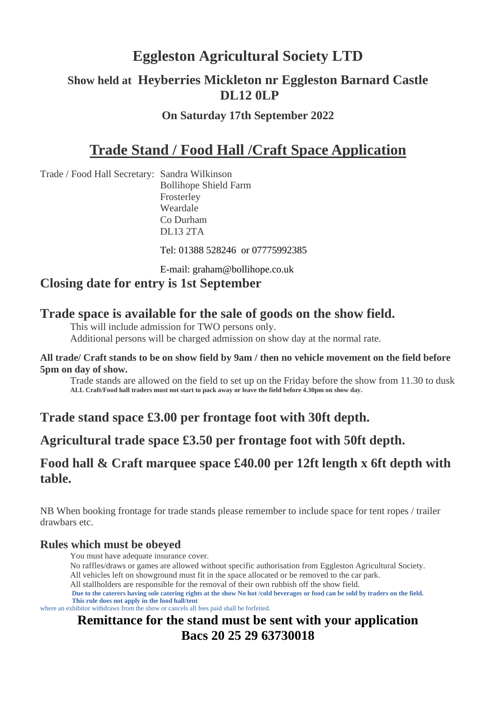# **Eggleston Agricultural Society LTD**

# **Show held at Heyberries Mickleton nr Eggleston Barnard Castle DL12 0LP**

#### **On Saturday 17th September 2022**

# **Trade Stand / Food Hall /Craft Space Application**

Trade / Food Hall Secretary: Sandra Wilkinson Bollihope Shield Farm Frosterley Weardale Co Durham DL13 2TA

Tel: 01388 528246 or 07775992385

E-mail: [graham@bollihope.co.uk](mailto:graham@bollihope.co.uk)

#### **Closing date for entry is 1st September**

#### **Trade space is available for the sale of goods on the show field.**

This will include admission for TWO persons only. Additional persons will be charged admission on show day at the normal rate.

#### **All trade/ Craft stands to be on show field by 9am / then no vehicle movement on the field before 5pm on day of show.**

Trade stands are allowed on the field to set up on the Friday before the show from 11.30 to dusk **ALL Craft/Food hall traders must not start to pack away or leave the field before 4.30pm on show day.** 

### **Trade stand space £3.00 per frontage foot with 30ft depth.**

#### **Agricultural trade space £3.50 per frontage foot with 50ft depth.**

#### **Food hall & Craft marquee space £40.00 per 12ft length x 6ft depth with table.**

NB When booking frontage for trade stands please remember to include space for tent ropes / trailer drawbars etc.

#### **Rules which must be obeyed**

You must have adequate insurance cover.

- No raffles/draws or games are allowed without specific authorisation from Eggleston Agricultural Society.
- All vehicles left on showground must fit in the space allocated or be removed to the car park.
- All stallholders are responsible for the removal of their own rubbish off the show field.

 **Due to the caterers having sole catering rights at the show No hot /cold beverages or food can be sold by traders on the field. This rule does not apply in the food hall/tent** 

where an exhibitor withdraws from the show or cancels all fees paid shall be forfeited.

# **Remittance for the stand must be sent with your application Bacs 20 25 29 63730018**